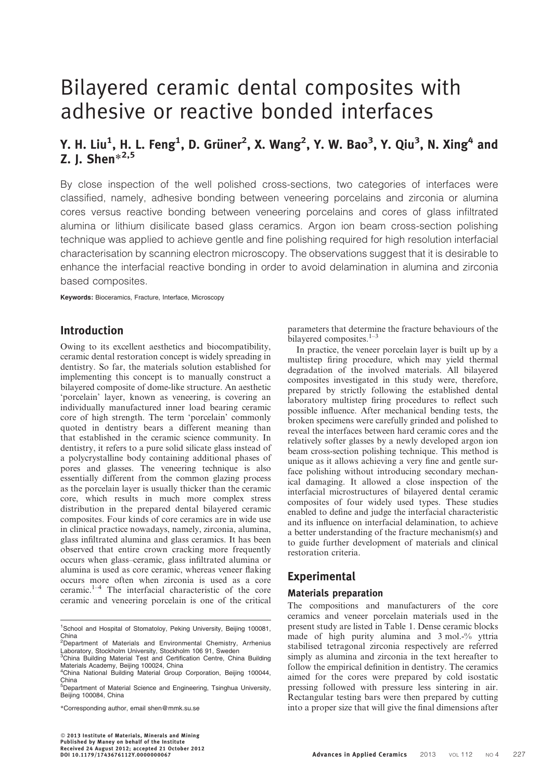# Bilayered ceramic dental composites with adhesive or reactive bonded interfaces

## Y. H. Liu $^1$ , H. L. Feng $^1$ , D. Grüner $^2$ , X. Wang $^2$ , Y. W. Bao $^3$ , Y. Qiu $^3$ , N. Xing $^4$  and **Z.** I. Shen\* $2,5$

By close inspection of the well polished cross-sections, two categories of interfaces were classified, namely, adhesive bonding between veneering porcelains and zirconia or alumina cores versus reactive bonding between veneering porcelains and cores of glass infiltrated alumina or lithium disilicate based glass ceramics. Argon ion beam cross-section polishing technique was applied to achieve gentle and fine polishing required for high resolution interfacial characterisation by scanning electron microscopy. The observations suggest that it is desirable to enhance the interfacial reactive bonding in order to avoid delamination in alumina and zirconia based composites.

Keywords: Bioceramics, Fracture, Interface, Microscopy

## Introduction

Owing to its excellent aesthetics and biocompatibility, ceramic dental restoration concept is widely spreading in dentistry. So far, the materials solution established for implementing this concept is to manually construct a bilayered composite of dome-like structure. An aesthetic 'porcelain' layer, known as veneering, is covering an individually manufactured inner load bearing ceramic core of high strength. The term 'porcelain' commonly quoted in dentistry bears a different meaning than that established in the ceramic science community. In dentistry, it refers to a pure solid silicate glass instead of a polycrystalline body containing additional phases of pores and glasses. The veneering technique is also essentially different from the common glazing process as the porcelain layer is usually thicker than the ceramic core, which results in much more complex stress distribution in the prepared dental bilayered ceramic composites. Four kinds of core ceramics are in wide use in clinical practice nowadays, namely, zirconia, alumina, glass infiltrated alumina and glass ceramics. It has been observed that entire crown cracking more frequently occurs when glass–ceramic, glass infiltrated alumina or alumina is used as core ceramic, whereas veneer flaking occurs more often when zirconia is used as a core ceramic.1–4 The interfacial characteristic of the core ceramic and veneering porcelain is one of the critical

\*Corresponding author, email shen@mmk.su.se

parameters that determine the fracture behaviours of the bilayered composites. $1-3$ 

In practice, the veneer porcelain layer is built up by a multistep firing procedure, which may yield thermal degradation of the involved materials. All bilayered composites investigated in this study were, therefore, prepared by strictly following the established dental laboratory multistep firing procedures to reflect such possible influence. After mechanical bending tests, the broken specimens were carefully grinded and polished to reveal the interfaces between hard ceramic cores and the relatively softer glasses by a newly developed argon ion beam cross-section polishing technique. This method is unique as it allows achieving a very fine and gentle surface polishing without introducing secondary mechanical damaging. It allowed a close inspection of the interfacial microstructures of bilayered dental ceramic composites of four widely used types. These studies enabled to define and judge the interfacial characteristic and its influence on interfacial delamination, to achieve a better understanding of the fracture mechanism(s) and to guide further development of materials and clinical restoration criteria.

## **Experimental**

#### Materials preparation

The compositions and manufacturers of the core ceramics and veneer porcelain materials used in the present study are listed in Table 1. Dense ceramic blocks made of high purity alumina and 3 mol.-% yttria stabilised tetragonal zirconia respectively are referred simply as alumina and zirconia in the text hereafter to follow the empirical definition in dentistry. The ceramics aimed for the cores were prepared by cold isostatic pressing followed with pressure less sintering in air. Rectangular testing bars were then prepared by cutting into a proper size that will give the final dimensions after

<sup>&</sup>lt;sup>1</sup>School and Hospital of Stomatoloy, Peking University, Beijing 100081, China

<sup>&</sup>lt;sup>2</sup>Department of Materials and Environmental Chemistry, Arrhenius Laboratory, Stockholm University, Stockholm 106 91, Sweden <sup>3</sup>China Building Material Test and Certification Centre, China Building

Materials Academy, Beijing 100024, China 4 China National Building Material Group Corporation, Beijing 100044, China

<sup>5</sup> Department of Material Science and Engineering, Tsinghua University, Beijing 100084, China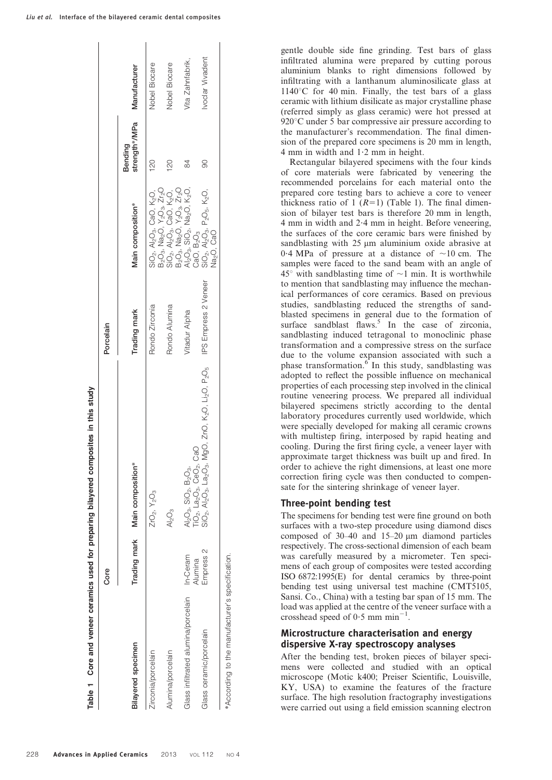|                                                 | Core                            |                                                                                                                                                                   | Porcelain            |                                                                                                                                                                                                                                                                                                                                                                                                                 |                          |                  |
|-------------------------------------------------|---------------------------------|-------------------------------------------------------------------------------------------------------------------------------------------------------------------|----------------------|-----------------------------------------------------------------------------------------------------------------------------------------------------------------------------------------------------------------------------------------------------------------------------------------------------------------------------------------------------------------------------------------------------------------|--------------------------|------------------|
| Bilayered specimen                              | Trading mark                    | Main composition*                                                                                                                                                 | Trading mark         | Main composition*                                                                                                                                                                                                                                                                                                                                                                                               | strength*/MPa<br>Bending | Manufacturer     |
| Zirconia/porcelain                              |                                 | ZrO <sub>2</sub> , Y <sub>2</sub> O <sub>3</sub>                                                                                                                  | Rondo Zirconia       |                                                                                                                                                                                                                                                                                                                                                                                                                 | 120                      | Nobel Biocare    |
| Alumina/porcelain                               |                                 | $Al_2O_3$                                                                                                                                                         | Rondo Alumina        |                                                                                                                                                                                                                                                                                                                                                                                                                 | 120                      | Nobel Biocare    |
| Glass infiltrated alumina/porcelain             | In-Ceram                        | Al <sub>2</sub> O <sub>3</sub> , SiO <sub>2</sub> , B <sub>2</sub> O <sub>3</sub> ,<br>TiO <sub>2</sub> , La <sub>2</sub> O <sub>3</sub> , CeO <sub>2</sub> , CaO | Vitadur Alpha        |                                                                                                                                                                                                                                                                                                                                                                                                                 | 84                       | Vita Zahnfabrik, |
| Glass ceramic/porcelain                         | Empress <sub>2</sub><br>Alumina | $SiO_2$ , $Al_2O_3$ , $La_2O_3$ , MgO, ZnO, K <sub>2</sub> O, Li <sub>2</sub> O, P <sub>2</sub> O <sub>5</sub>                                                    | IPS Empress 2 Veneer | SiO <sub>3</sub> , Al2O <sub>3</sub> , CaO, K <sub>2</sub> O,<br>B <sub>2</sub> O <sub>3</sub> , Na2O, Y <sub>2</sub> O <sub>3</sub> , Zr <sub>2</sub> O<br>SiO <sub>2</sub> , Al2O <sub>3</sub> , CaO, K <sub>2</sub> O,<br>B <sub>2</sub> O <sub>3</sub> , Na2O, Na2O, K <sub>2</sub> O,<br>CaO, B2O <sub>3</sub> , Na2O, K2O,<br>SiO <sub>2</sub> , Al2O <sub>3</sub> , P2O <sub>5</sub> , K2O,<br>Na2O, CaO | 8                        | Ivoclar Vivadent |
| *According to the manufacturer's specification. |                                 |                                                                                                                                                                   |                      |                                                                                                                                                                                                                                                                                                                                                                                                                 |                          |                  |

gentle double side fine grinding. Test bars of glass infiltrated alumina were prepared by cutting porous aluminium blanks to right dimensions followed by infiltrating with a lanthanum aluminosilicate glass at  $1140^{\circ}$ C for 40 min. Finally, the test bars of a glass ceramic with lithium disilicate as major crystalline phase (referred simply as glass ceramic) were hot pressed at  $920^{\circ}$ C under 5 bar compressive air pressure according to the manufacturer's recommendation. The final dimension of the prepared core specimens is 20 mm in length, 4 mm in width and  $1.2$  mm in height.

Rectangular bilayered specimens with the four kinds of core materials were fabricated by veneering the recommended porcelains for each material onto the prepared core testing bars to achieve a core to veneer thickness ratio of 1  $(R=1)$  (Table 1). The final dimension of bilayer test bars is therefore 20 mm in length, 4 mm in width and 2?4 mm in height. Before veneering, the surfaces of the core ceramic bars were finished by sandblasting with  $25 \mu m$  aluminium oxide abrasive at 0.4 MPa of pressure at a distance of  $\sim$ 10 cm. The samples were faced to the sand beam with an angle of  $45^\circ$  with sandblasting time of  $\sim$ 1 min. It is worthwhile to mention that sandblasting may influence the mechanical performances of core ceramics. Based on previous studies, sandblasting reduced the strengths of sandblasted specimens in general due to the formation of surface sandblast flaws.<sup>5</sup> In the case of zirconia, sandblasting induced tetragonal to monoclinic phase transformation and a compressive stress on the surface due to the volume expansion associated with such a phase transformation.<sup>6</sup> In this study, sandblasting was adopted to reflect the possible influence on mechanical properties of each processing step involved in the clinical routine veneering process. We prepared all individual bilayered specimens strictly according to the dental laboratory procedures currently used worldwide, which were specially developed for making all ceramic crowns with multistep firing, interposed by rapid heating and cooling. During the first firing cycle, a veneer layer with approximate target thickness was built up and fired. In order to achieve the right dimensions, at least one more correction firing cycle was then conducted to compensate for the sintering shrinkage of veneer layer.

#### Three-point bending test

The specimens for bending test were fine ground on both surfaces with a two-step procedure using diamond discs composed of  $30-40$  and  $15-20$  µm diamond particles respectively. The cross-sectional dimension of each beam was carefully measured by a micrometer. Ten specimens of each group of composites were tested according ISO 6872:1995(E) for dental ceramics by three-point bending test using universal test machine (CMT5105, Sansi. Co., China) with a testing bar span of 15 mm. The load was applied at the centre of the veneer surface with a crosshead speed of 0.5 mm min<sup>-1</sup>.

#### Microstructure characterisation and energy dispersive X-ray spectroscopy analyses

After the bending test, broken pieces of bilayer specimens were collected and studied with an optical microscope (Motic k400; Preiser Scientific, Louisville, KY, USA) to examine the features of the fracture surface. The high resolution fractography investigations were carried out using a field emission scanning electron

Table 1 Core and veneer ceramics used for preparing bilayered composites in this study

Table 1 Core and veneer ceramics used for preparing bilayered composites in this study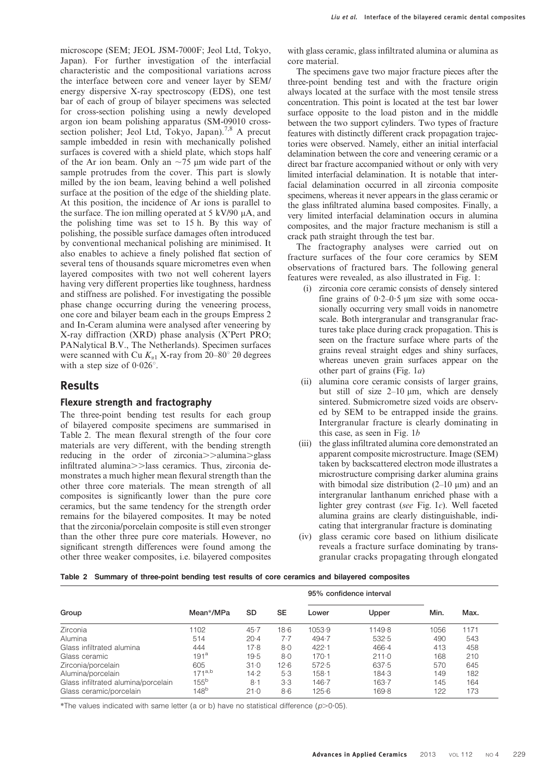microscope (SEM; JEOL JSM-7000F; Jeol Ltd, Tokyo, Japan). For further investigation of the interfacial characteristic and the compositional variations across the interface between core and veneer layer by SEM/ energy dispersive X-ray spectroscopy (EDS), one test bar of each of group of bilayer specimens was selected for cross-section polishing using a newly developed argon ion beam polishing apparatus (SM-09010 crosssection polisher; Jeol Ltd, Tokyo, Japan).<sup>7,8</sup> A precut sample imbedded in resin with mechanically polished surfaces is covered with a shield plate, which stops half of the Ar ion beam. Only an  $\sim$ 75 µm wide part of the sample protrudes from the cover. This part is slowly milled by the ion beam, leaving behind a well polished surface at the position of the edge of the shielding plate. At this position, the incidence of Ar ions is parallel to the surface. The ion milling operated at  $5 \frac{\text{kV}}{90}$   $\mu$ A, and the polishing time was set to 15 h. By this way of polishing, the possible surface damages often introduced by conventional mechanical polishing are minimised. It also enables to achieve a finely polished flat section of several tens of thousands square micrometres even when layered composites with two not well coherent layers having very different properties like toughness, hardness and stiffness are polished. For investigating the possible phase change occurring during the veneering process, one core and bilayer beam each in the groups Empress 2 and In-Ceram alumina were analysed after veneering by X-ray diffraction (XRD) phase analysis (X'Pert PRO; PANalytical B.V., The Netherlands). Specimen surfaces were scanned with Cu  $K_{\alpha 1}$  X-ray from 20–80° 20 degrees with a step size of  $0.026^{\circ}$ .

## Results

#### Flexure strength and fractography

The three-point bending test results for each group of bilayered composite specimens are summarised in Table 2. The mean flexural strength of the four core materials are very different, with the bending strength reducing in the order of zirconia.>>alumina.>glass infiltrated alumina>>lass ceramics. Thus, zirconia demonstrates a much higher mean flexural strength than the other three core materials. The mean strength of all composites is significantly lower than the pure core ceramics, but the same tendency for the strength order remains for the bilayered composites. It may be noted that the zirconia/porcelain composite is still even stronger than the other three pure core materials. However, no significant strength differences were found among the other three weaker composites, i.e. bilayered composites

with glass ceramic, glass infiltrated alumina or alumina as core material.

The specimens gave two major fracture pieces after the three-point bending test and with the fracture origin always located at the surface with the most tensile stress concentration. This point is located at the test bar lower surface opposite to the load piston and in the middle between the two support cylinders. Two types of fracture features with distinctly different crack propagation trajectories were observed. Namely, either an initial interfacial delamination between the core and veneering ceramic or a direct bar fracture accompanied without or only with very limited interfacial delamination. It is notable that interfacial delamination occurred in all zirconia composite specimens, whereas it never appears in the glass ceramic or the glass infiltrated alumina based composites. Finally, a very limited interfacial delamination occurs in alumina composites, and the major fracture mechanism is still a crack path straight through the test bar.

The fractography analyses were carried out on fracture surfaces of the four core ceramics by SEM observations of fractured bars. The following general features were revealed, as also illustrated in Fig. 1:

- (i) zirconia core ceramic consists of densely sintered fine grains of  $0.2{\text -}0.5$  µm size with some occasionally occurring very small voids in nanometre scale. Both intergranular and transgranular fractures take place during crack propagation. This is seen on the fracture surface where parts of the grains reveal straight edges and shiny surfaces, whereas uneven grain surfaces appear on the other part of grains (Fig.  $1a$ )
- (ii) alumina core ceramic consists of larger grains, but still of size  $2-10 \mu m$ , which are densely sintered. Submicrometre sized voids are observed by SEM to be entrapped inside the grains. Intergranular fracture is clearly dominating in this case, as seen in Fig. 1b
- (iii) the glass infiltrated alumina core demonstrated an apparent composite microstructure. Image (SEM) taken by backscattered electron mode illustrates a microstructure comprising darker alumina grains with bimodal size distribution  $(2-10 \mu m)$  and an intergranular lanthanum enriched phase with a lighter grey contrast (see Fig. 1c). Well faceted alumina grains are clearly distinguishable, indicating that intergranular fracture is dominating
- (iv) glass ceramic core based on lithium disilicate reveals a fracture surface dominating by transgranular cracks propagating through elongated

|  | Table 2 Summary of three-point bending test results of core ceramics and bilayered composites |  |  |  |  |  |  |  |  |  |
|--|-----------------------------------------------------------------------------------------------|--|--|--|--|--|--|--|--|--|
|--|-----------------------------------------------------------------------------------------------|--|--|--|--|--|--|--|--|--|

|                                     |                  |      |           |           | 95% confidence interval |      |      |
|-------------------------------------|------------------|------|-----------|-----------|-------------------------|------|------|
| Group                               | Mean*/MPa        | SD   | <b>SE</b> | Lower     | Upper                   | Min. | Max. |
| Zirconia                            | 1102             | 45.7 | 18.6      | 1053.9    | 1149.8                  | 1056 | 1171 |
| Alumina                             | 514              | 20.4 | 7.7       | 494.7     | 532.5                   | 490  | 543  |
| Glass infiltrated alumina           | 444              | 17.8 | 8·0       | 422.1     | 466.4                   | 413  | 458  |
| Glass ceramic                       | 191 <sup>a</sup> | 19.5 | 8·0       | $170-1$   | 211.0                   | 168  | 210  |
| Zirconia/porcelain                  | 605              | 31.0 | 12.6      | 572.5     | 637.5                   | 570  | 645  |
| Alumina/porcelain                   | $171^{a,b}$      | 14.2 | 5.3       | $158 - 1$ | 184.3                   | 149  | 182  |
| Glass infiltrated alumina/porcelain | 155 <sup>b</sup> | 8·1  | 3.3       | $146 - 7$ | $163 - 7$               | 145  | 164  |
| Glass ceramic/porcelain             | 148 <sup>b</sup> | 21.0 | 8·6       | 125.6     | 169.8                   | 122  | 173  |

\*The values indicated with same letter (a or b) have no statistical difference  $(p>0.05)$ .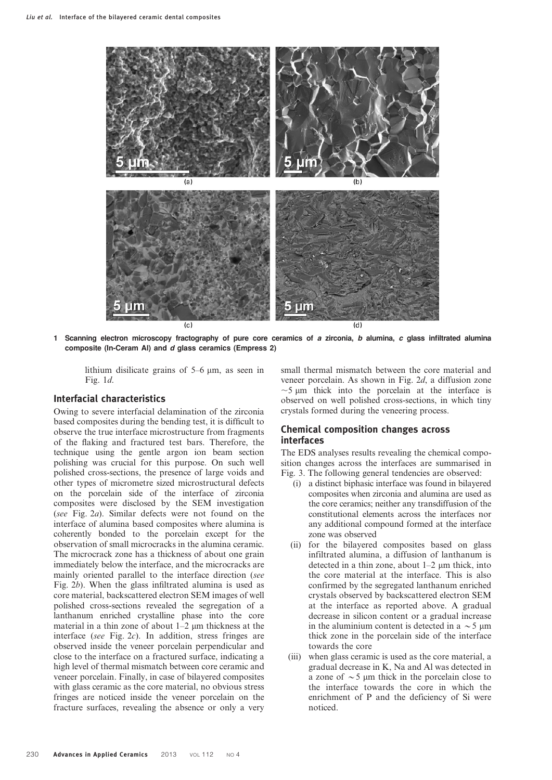

1 Scanning electron microscopy fractography of pure core ceramics of a zirconia, b alumina, c glass infiltrated alumina composite (In-Ceram Al) and d glass ceramics (Empress 2)

lithium disilicate grains of  $5-6 \mu m$ , as seen in Fig. 1d.

#### Interfacial characteristics

Owing to severe interfacial delamination of the zirconia based composites during the bending test, it is difficult to observe the true interface microstructure from fragments of the flaking and fractured test bars. Therefore, the technique using the gentle argon ion beam section polishing was crucial for this purpose. On such well polished cross-sections, the presence of large voids and other types of micrometre sized microstructural defects on the porcelain side of the interface of zirconia composites were disclosed by the SEM investigation (see Fig. 2a). Similar defects were not found on the interface of alumina based composites where alumina is coherently bonded to the porcelain except for the observation of small microcracks in the alumina ceramic. The microcrack zone has a thickness of about one grain immediately below the interface, and the microcracks are mainly oriented parallel to the interface direction (see Fig. 2b). When the glass infiltrated alumina is used as core material, backscattered electron SEM images of well polished cross-sections revealed the segregation of a lanthanum enriched crystalline phase into the core material in a thin zone of about  $1-2 \mu m$  thickness at the interface (see Fig. 2c). In addition, stress fringes are observed inside the veneer porcelain perpendicular and close to the interface on a fractured surface, indicating a high level of thermal mismatch between core ceramic and veneer porcelain. Finally, in case of bilayered composites with glass ceramic as the core material, no obvious stress fringes are noticed inside the veneer porcelain on the fracture surfaces, revealing the absence or only a very

small thermal mismatch between the core material and veneer porcelain. As shown in Fig. 2d, a diffusion zone  $\sim$ 5  $\mu$ m thick into the porcelain at the interface is observed on well polished cross-sections, in which tiny crystals formed during the veneering process.

#### Chemical composition changes across interfaces

The EDS analyses results revealing the chemical composition changes across the interfaces are summarised in Fig. 3. The following general tendencies are observed:

- (i) a distinct biphasic interface was found in bilayered composites when zirconia and alumina are used as the core ceramics; neither any transdiffusion of the constitutional elements across the interfaces nor any additional compound formed at the interface zone was observed
- (ii) for the bilayered composites based on glass infiltrated alumina, a diffusion of lanthanum is detected in a thin zone, about  $1-2$  µm thick, into the core material at the interface. This is also confirmed by the segregated lanthanum enriched crystals observed by backscattered electron SEM at the interface as reported above. A gradual decrease in silicon content or a gradual increase in the aluminium content is detected in a  $\sim$  5 µm thick zone in the porcelain side of the interface towards the core
- (iii) when glass ceramic is used as the core material, a gradual decrease in K, Na and Al was detected in a zone of  $\sim$  5 µm thick in the porcelain close to the interface towards the core in which the enrichment of P and the deficiency of Si were noticed.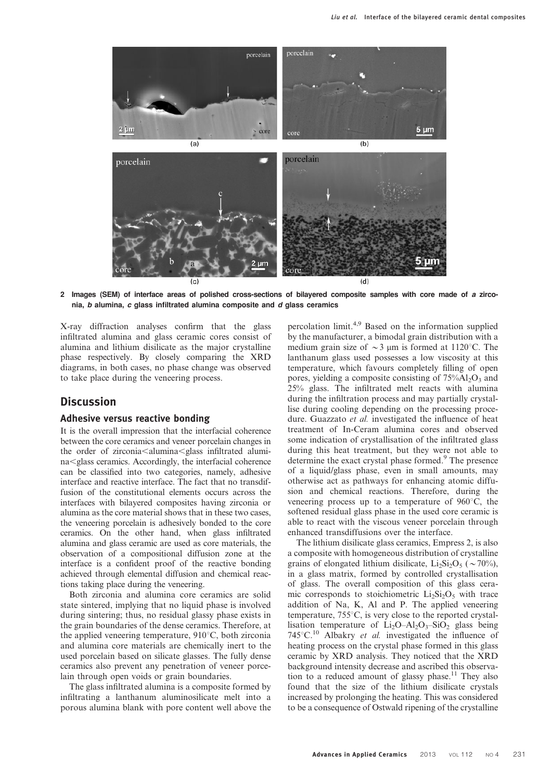

2 Images (SEM) of interface areas of polished cross-sections of bilayered composite samples with core made of a zirconia, b alumina, c glass infiltrated alumina composite and d glass ceramics

X-ray diffraction analyses confirm that the glass infiltrated alumina and glass ceramic cores consist of alumina and lithium disilicate as the major crystalline phase respectively. By closely comparing the XRD diagrams, in both cases, no phase change was observed to take place during the veneering process.

### **Discussion**

#### Adhesive versus reactive bonding

It is the overall impression that the interfacial coherence between the core ceramics and veneer porcelain changes in the order of zirconia<alumina<glass infiltrated alumina<glass ceramics. Accordingly, the interfacial coherence can be classified into two categories, namely, adhesive interface and reactive interface. The fact that no transdiffusion of the constitutional elements occurs across the interfaces with bilayered composites having zirconia or alumina as the core material shows that in these two cases, the veneering porcelain is adhesively bonded to the core ceramics. On the other hand, when glass infiltrated alumina and glass ceramic are used as core materials, the observation of a compositional diffusion zone at the interface is a confident proof of the reactive bonding achieved through elemental diffusion and chemical reactions taking place during the veneering.

Both zirconia and alumina core ceramics are solid state sintered, implying that no liquid phase is involved during sintering; thus, no residual glassy phase exists in the grain boundaries of the dense ceramics. Therefore, at the applied veneering temperature,  $910^{\circ}$ C, both zirconia and alumina core materials are chemically inert to the used porcelain based on silicate glasses. The fully dense ceramics also prevent any penetration of veneer porcelain through open voids or grain boundaries.

The glass infiltrated alumina is a composite formed by infiltrating a lanthanum aluminosilicate melt into a porous alumina blank with pore content well above the percolation limit.4,9 Based on the information supplied by the manufacturer, a bimodal grain distribution with a medium grain size of  $\sim$ 3 µm is formed at 1120°C. The lanthanum glass used possesses a low viscosity at this temperature, which favours completely filling of open pores, yielding a composite consisting of  $75\%$ Al<sub>2</sub>O<sub>3</sub> and 25% glass. The infiltrated melt reacts with alumina during the infiltration process and may partially crystallise during cooling depending on the processing procedure. Guazzato et al. investigated the influence of heat treatment of In-Ceram alumina cores and observed some indication of crystallisation of the infiltrated glass during this heat treatment, but they were not able to determine the exact crystal phase formed.<sup>9</sup> The presence of a liquid/glass phase, even in small amounts, may otherwise act as pathways for enhancing atomic diffusion and chemical reactions. Therefore, during the veneering process up to a temperature of  $960^{\circ}$ C, the softened residual glass phase in the used core ceramic is able to react with the viscous veneer porcelain through enhanced transdiffusions over the interface.

The lithium disilicate glass ceramics, Empress 2, is also a composite with homogeneous distribution of crystalline grains of elongated lithium disilicate,  $Li_2Si_2O_5$  ( $\sim$  70%), in a glass matrix, formed by controlled crystallisation of glass. The overall composition of this glass ceramic corresponds to stoichiometric  $Li<sub>2</sub>Si<sub>2</sub>O<sub>5</sub>$  with trace addition of Na, K, Al and P. The applied veneering temperature,  $755^{\circ}$ C, is very close to the reported crystallisation temperature of  $Li<sub>2</sub>O<sub>1</sub> – Al<sub>2</sub>O<sub>3</sub> – SiO<sub>2</sub>$  glass being 745 $^{\circ}$ C.<sup>10</sup> Albakry *et al.* investigated the influence of heating process on the crystal phase formed in this glass ceramic by XRD analysis. They noticed that the XRD background intensity decrease and ascribed this observation to a reduced amount of glassy phase.<sup>11</sup> They also found that the size of the lithium disilicate crystals increased by prolonging the heating. This was considered to be a consequence of Ostwald ripening of the crystalline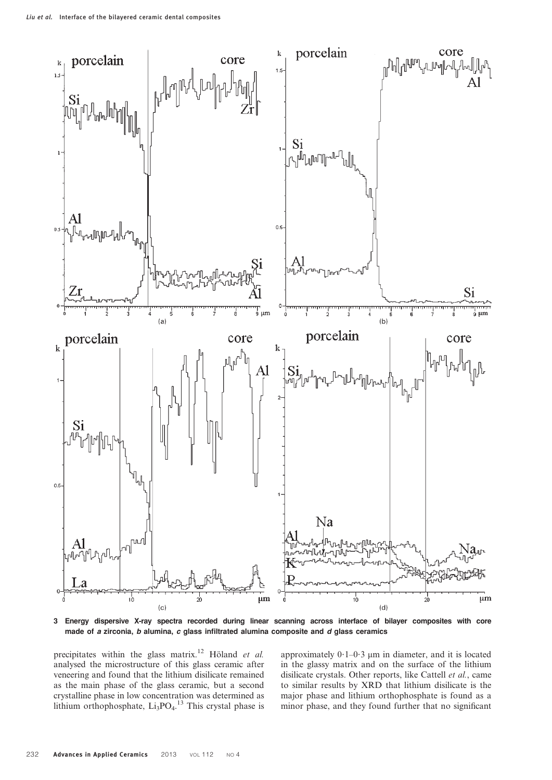

3 Energy dispersive X-ray spectra recorded during linear scanning across interface of bilayer composites with core made of a zirconia,  $b$  alumina,  $c$  glass infiltrated alumina composite and  $d$  glass ceramics

precipitates within the glass matrix.<sup>12</sup> Höland et al. analysed the microstructure of this glass ceramic after veneering and found that the lithium disilicate remained as the main phase of the glass ceramic, but a second crystalline phase in low concentration was determined as lithium orthophosphate,  $Li_3PO_4$ .<sup>13</sup> This crystal phase is

approximately  $0.1-0.3 \mu m$  in diameter, and it is located in the glassy matrix and on the surface of the lithium disilicate crystals. Other reports, like Cattell et al., came to similar results by XRD that lithium disilicate is the major phase and lithium orthophosphate is found as a minor phase, and they found further that no significant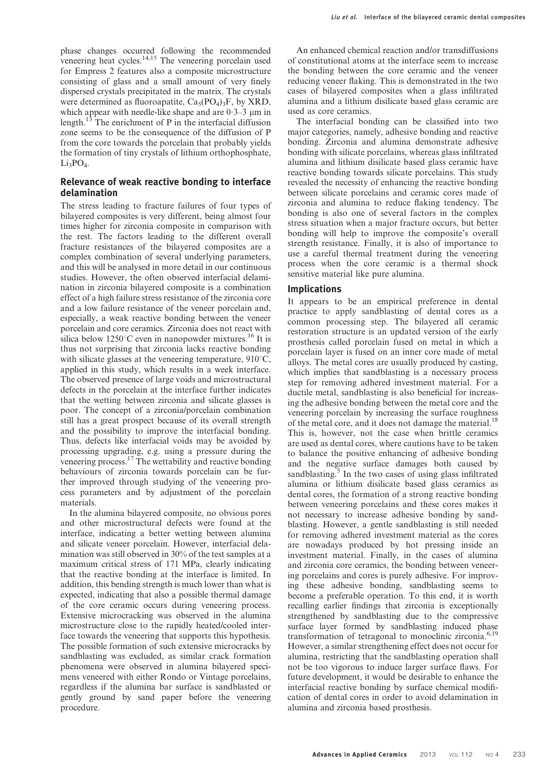phase changes occurred following the recommended veneering heat cycles. $14,15$  The veneering porcelain used for Empress 2 features also a composite microstructure consisting of glass and a small amount of very finely dispersed crystals precipitated in the matrix. The crystals were determined as fluoroapatite,  $Ca<sub>5</sub>(PO<sub>4</sub>)<sub>3</sub>F$ , by XRD, which appear with needle-like shape and are  $0.3-3 \mu m$  in length.<sup>13</sup> The enrichment of P in the interfacial diffusion zone seems to be the consequence of the diffusion of P from the core towards the porcelain that probably yields the formation of tiny crystals of lithium orthophosphate,  $Li<sub>3</sub>PO<sub>4</sub>$ .

#### Relevance of weak reactive bonding to interface delamination

The stress leading to fracture failures of four types of bilayered composites is very different, being almost four times higher for zirconia composite in comparison with the rest. The factors leading to the different overall fracture resistances of the bilayered composites are a complex combination of several underlying parameters, and this will be analysed in more detail in our continuous studies. However, the often observed interfacial delamination in zirconia bilayered composite is a combination effect of a high failure stress resistance of the zirconia core and a low failure resistance of the veneer porcelain and, especially, a weak reactive bonding between the veneer porcelain and core ceramics. Zirconia does not react with silica below  $1250^{\circ}$ C even in nanopowder mixtures.<sup>16</sup> It is thus not surprising that zirconia lacks reactive bonding with silicate glasses at the veneering temperature,  $910^{\circ}$ C, applied in this study, which results in a week interface. The observed presence of large voids and microstructural defects in the porcelain at the interface further indicates that the wetting between zirconia and silicate glasses is poor. The concept of a zirconia/porcelain combination still has a great prospect because of its overall strength and the possibility to improve the interfacial bonding. Thus, defects like interfacial voids may be avoided by processing upgrading, e.g. using a pressure during the veneering process.<sup>17</sup> The wettability and reactive bonding behaviours of zirconia towards porcelain can be further improved through studying of the veneering process parameters and by adjustment of the porcelain materials.

In the alumina bilayered composite, no obvious pores and other microstructural defects were found at the interface, indicating a better wetting between alumina and silicate veneer porcelain. However, interfacial delamination was still observed in 30% of the test samples at a maximum critical stress of 171 MPa, clearly indicating that the reactive bonding at the interface is limited. In addition, this bending strength is much lower than what is expected, indicating that also a possible thermal damage of the core ceramic occurs during veneering process. Extensive microcracking was observed in the alumina microstructure close to the rapidly heated/cooled interface towards the veneering that supports this hypothesis. The possible formation of such extensive microcracks by sandblasting was excluded, as similar crack formation phenomena were observed in alumina bilayered specimens veneered with either Rondo or Vintage porcelains, regardless if the alumina bar surface is sandblasted or gently ground by sand paper before the veneering procedure.

An enhanced chemical reaction and/or transdiffusions of constitutional atoms at the interface seem to increase the bonding between the core ceramic and the veneer reducing veneer flaking. This is demonstrated in the two cases of bilayered composites when a glass infiltrated alumina and a lithium disilicate based glass ceramic are used as core ceramics.

The interfacial bonding can be classified into two major categories, namely, adhesive bonding and reactive bonding. Zirconia and alumina demonstrate adhesive bonding with silicate porcelains, whereas glass infiltrated alumina and lithium disilicate based glass ceramic have reactive bonding towards silicate porcelains. This study revealed the necessity of enhancing the reactive bonding between silicate porcelains and ceramic cores made of zirconia and alumina to reduce flaking tendency. The bonding is also one of several factors in the complex stress situation when a major fracture occurs, but better bonding will help to improve the composite's overall strength resistance. Finally, it is also of importance to use a careful thermal treatment during the veneering process when the core ceramic is a thermal shock sensitive material like pure alumina.

#### Implications

It appears to be an empirical preference in dental practice to apply sandblasting of dental cores as a common processing step. The bilayered all ceramic restoration structure is an updated version of the early prosthesis called porcelain fused on metal in which a porcelain layer is fused on an inner core made of metal alloys. The metal cores are usually produced by casting, which implies that sandblasting is a necessary process step for removing adhered investment material. For a ductile metal, sandblasting is also beneficial for increasing the adhesive bonding between the metal core and the veneering porcelain by increasing the surface roughness of the metal core, and it does not damage the material.<sup>18</sup> This is, however, not the case when brittle ceramics are used as dental cores, where cautions have to be taken to balance the positive enhancing of adhesive bonding and the negative surface damages both caused by sandblasting.<sup>5</sup> In the two cases of using glass infiltrated alumina or lithium disilicate based glass ceramics as dental cores, the formation of a strong reactive bonding between veneering porcelains and these cores makes it not necessary to increase adhesive bonding by sandblasting. However, a gentle sandblasting is still needed for removing adhered investment material as the cores are nowadays produced by hot pressing inside an investment material. Finally, in the cases of alumina and zirconia core ceramics, the bonding between veneering porcelains and cores is purely adhesive. For improving these adhesive bonding, sandblasting seems to become a preferable operation. To this end, it is worth recalling earlier findings that zirconia is exceptionally strengthened by sandblasting due to the compressive surface layer formed by sandblasting induced phase transformation of tetragonal to monoclinic zirconia.6,19 However, a similar strengthening effect does not occur for alumina, restricting that the sandblasting operation shall not be too vigorous to induce larger surface flaws. For future development, it would be desirable to enhance the interfacial reactive bonding by surface chemical modification of dental cores in order to avoid delamination in alumina and zirconia based prosthesis.